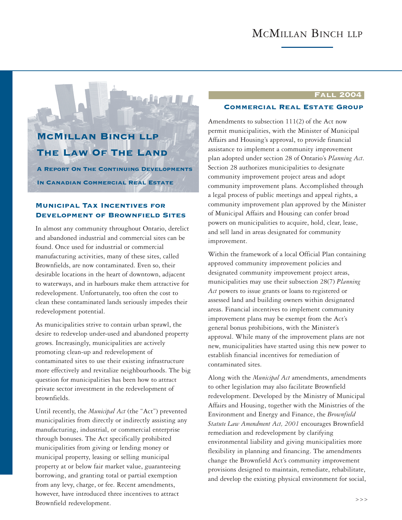## **MCMILLAN BINCH LLP** The Law Of The Land

A Report On The Continuing Developments In Canadian Commercial Real Estate

## Municipal Tax Incentives for Development of Brownfield Sites

In almost any community throughout Ontario, derelict and abandoned industrial and commercial sites can be found. Once used for industrial or commercial manufacturing activities, many of these sites, called Brownfields, are now contaminated. Even so, their desirable locations in the heart of downtown, adjacent to waterways, and in harbours make them attractive for redevelopment. Unfortunately, too often the cost to clean these contaminated lands seriously impedes their redevelopment potential.

As municipalities strive to contain urban sprawl, the desire to redevelop under-used and abandoned property grows. Increasingly, municipalities are actively promoting clean-up and redevelopment of contaminated sites to use their existing infrastructure more effectively and revitalize neighbourhoods. The big question for municipalities has been how to attract private sector investment in the redevelopment of brownfields.

Until recently, the *Municipal Act* (the "Act") prevented municipalities from directly or indirectly assisting any manufacturing, industrial, or commercial enterprise through bonuses. The Act specifically prohibited municipalities from giving or lending money or municipal property, leasing or selling municipal property at or below fair market value, guaranteeing borrowing, and granting total or partial exemption from any levy, charge, or fee. Recent amendments, however, have introduced three incentives to attract Brownfield redevelopment.

## Fall 2004

## Commercial Real Estate Group

Amendments to subsection 111(2) of the Act now permit municipalities, with the Minister of Municipal Affairs and Housing's approval, to provide financial assistance to implement a community improvement plan adopted under section 28 of Ontario's *Planning Act*. Section 28 authorizes municipalities to designate community improvement project areas and adopt community improvement plans. Accomplished through a legal process of public meetings and appeal rights, a community improvement plan approved by the Minister of Municipal Affairs and Housing can confer broad powers on municipalities to acquire, hold, clear, lease, and sell land in areas designated for community improvement.

Within the framework of a local Official Plan containing approved community improvement policies and designated community improvement project areas, municipalities may use their subsection 28(7) *Planning Act* powers to issue grants or loans to registered or assessed land and building owners within designated areas. Financial incentives to implement community improvement plans may be exempt from the Act's general bonus prohibitions, with the Minister's approval. While many of the improvement plans are not new, municipalities have started using this new power to establish financial incentives for remediation of contaminated sites.

Along with the *Municipal Act* amendments, amendments to other legislation may also facilitate Brownfield redevelopment. Developed by the Ministry of Municipal Affairs and Housing, together with the Ministries of the Environment and Energy and Finance, the *Brownfield Statute Law Amendment Act, 2001* encourages Brownfield remediation and redevelopment by clarifying environmental liability and giving municipalities more flexibility in planning and financing. The amendments change the Brownfield Act's community improvement provisions designed to maintain, remediate, rehabilitate, and develop the existing physical environment for social,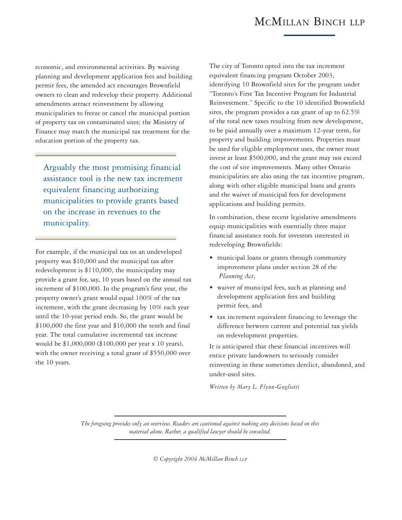# MCMILLAN BINCH LLP

economic, and environmental activities. By waiving planning and development application fees and building permit fees, the amended act encourages Brownfield owners to clean and redevelop their property. Additional amendments attract reinvestment by allowing municipalities to freeze or cancel the municipal portion of property tax on contaminated sites; the Ministry of Finance may match the municipal tax treatment for the education portion of the property tax.

Arguably the most promising financial assistance tool is the new tax increment equivalent financing authorizing municipalities to provide grants based on the increase in revenues to the municipality.

For example, if the municipal tax on an undeveloped property was \$10,000 and the municipal tax after redevelopment is \$110,000, the municipality may provide a grant for, say, 10 years based on the annual tax increment of \$100,000. In the program's first year, the property owner's grant would equal 100% of the tax increment, with the grant decreasing by 10% each year until the 10-year period ends. So, the grant would be \$100,000 the first year and \$10,000 the tenth and final year. The total cumulative incremental tax increase would be \$1,000,000 (\$100,000 per year x 10 years), with the owner receiving a total grant of \$550,000 over the 10 years.

The city of Toronto opted into the tax increment equivalent financing program October 2003, identifying 10 Brownfield sites for the program under "Toronto's First Tax Incentive Program for Industrial Reinvestment." Specific to the 10 identified Brownfield sites, the program provides a tax grant of up to 62.5% of the total new taxes resulting from new development, to be paid annually over a maximum 12-year term, for property and building improvements. Properties must be used for eligible employment uses, the owner must invest at least \$500,000, and the grant may not exceed the cost of site improvements. Many other Ontario municipalities are also using the tax incentive program, along with other eligible municipal loans and grants and the waiver of municipal fees for development applications and building permits.

In combination, these recent legislative amendments equip municipalities with essentially three major financial assistance tools for investors interested in redeveloping Brownfields:

- municipal loans or grants through community improvement plans under section 28 of the *Planning Act*,
- waiver of municipal fees, such as planning and development application fees and building permit fees, and
- tax increment equivalent financing to leverage the difference between current and potential tax yields on redevelopment properties.

It is anticipated that these financial incentives will entice private landowners to seriously consider reinvesting in these sometimes derelict, abandoned, and under-used sites.

*Written by Mary L. Flynn-Guglietti*

*The foregoing provides only an overview. Readers are cautioned against making any decisions based on this material alone. Rather, a qualified lawyer should be consulted.*

© *Copyright 2004 McMillan Binch LLP*